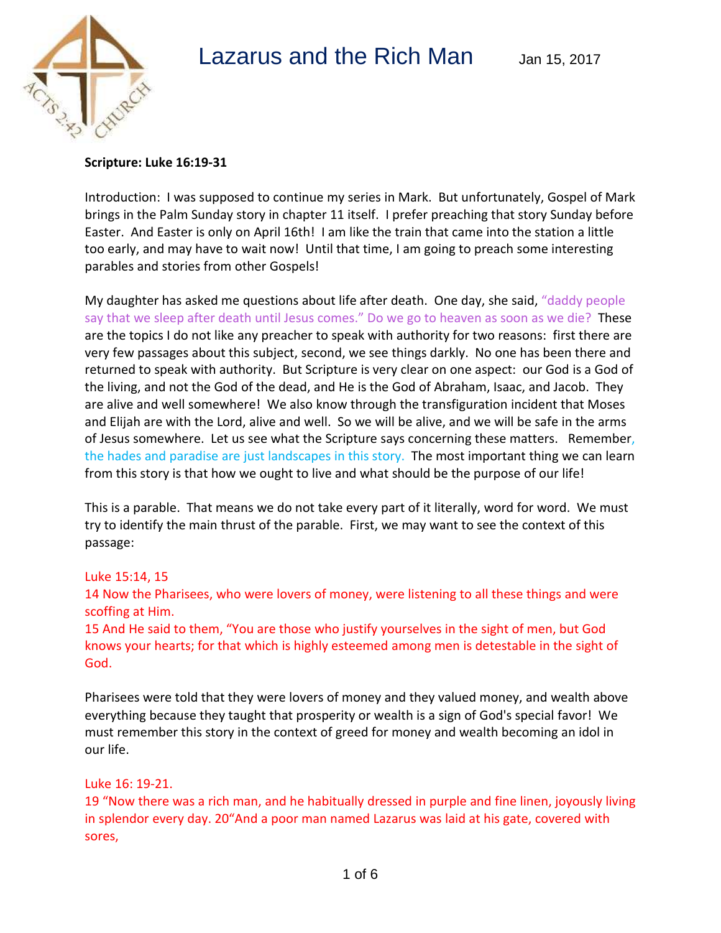

### **Scripture: Luke 16:19-31**

Introduction: I was supposed to continue my series in Mark. But unfortunately, Gospel of Mark brings in the Palm Sunday story in chapter 11 itself. I prefer preaching that story Sunday before Easter. And Easter is only on April 16th! I am like the train that came into the station a little too early, and may have to wait now! Until that time, I am going to preach some interesting parables and stories from other Gospels!

My daughter has asked me questions about life after death. One day, she said, "daddy people say that we sleep after death until Jesus comes." Do we go to heaven as soon as we die? These are the topics I do not like any preacher to speak with authority for two reasons: first there are very few passages about this subject, second, we see things darkly. No one has been there and returned to speak with authority. But Scripture is very clear on one aspect: our God is a God of the living, and not the God of the dead, and He is the God of Abraham, Isaac, and Jacob. They are alive and well somewhere! We also know through the transfiguration incident that Moses and Elijah are with the Lord, alive and well. So we will be alive, and we will be safe in the arms of Jesus somewhere. Let us see what the Scripture says concerning these matters. Remember, the hades and paradise are just landscapes in this story. The most important thing we can learn from this story is that how we ought to live and what should be the purpose of our life!

This is a parable. That means we do not take every part of it literally, word for word. We must try to identify the main thrust of the parable. First, we may want to see the context of this passage:

## Luke 15:14, 15

14 Now the Pharisees, who were lovers of money, were listening to all these things and were scoffing at Him.

15 And He said to them, "You are those who justify yourselves in the sight of men, but God knows your hearts; for that which is highly esteemed among men is detestable in the sight of God.

Pharisees were told that they were lovers of money and they valued money, and wealth above everything because they taught that prosperity or wealth is a sign of God's special favor! We must remember this story in the context of greed for money and wealth becoming an idol in our life.

#### Luke 16: 19-21.

19 "Now there was a rich man, and he habitually dressed in purple and fine linen, joyously living in splendor every day. 20"And a poor man named Lazarus was laid at his gate, covered with sores,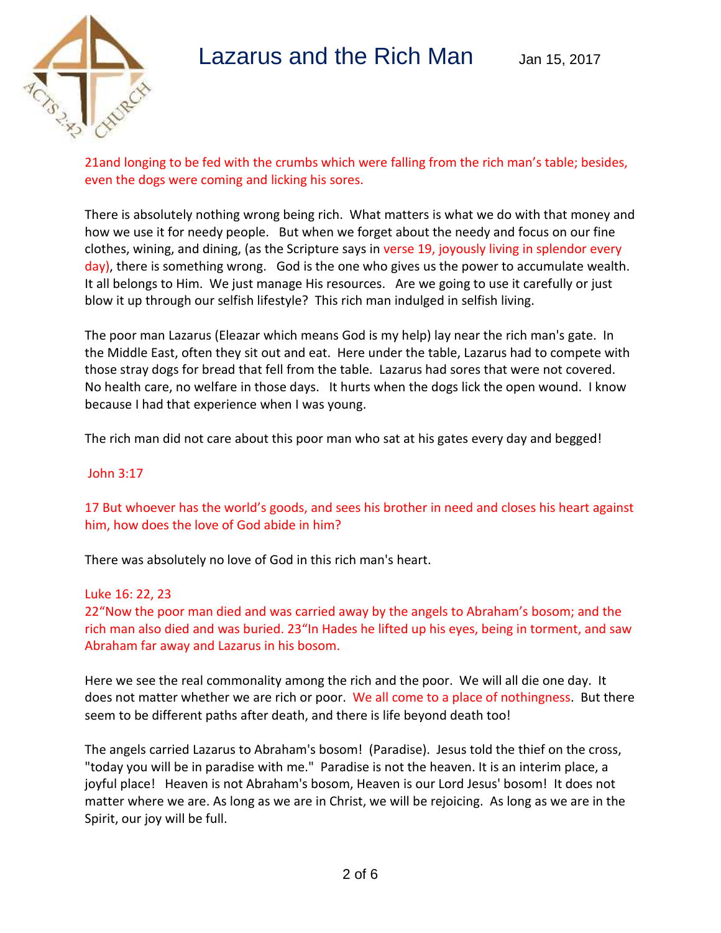

21and longing to be fed with the crumbs which were falling from the rich man's table; besides, even the dogs were coming and licking his sores.

There is absolutely nothing wrong being rich. What matters is what we do with that money and how we use it for needy people. But when we forget about the needy and focus on our fine clothes, wining, and dining, (as the Scripture says in verse 19, joyously living in splendor every day), there is something wrong. God is the one who gives us the power to accumulate wealth. It all belongs to Him. We just manage His resources. Are we going to use it carefully or just blow it up through our selfish lifestyle? This rich man indulged in selfish living.

The poor man Lazarus (Eleazar which means God is my help) lay near the rich man's gate. In the Middle East, often they sit out and eat. Here under the table, Lazarus had to compete with those stray dogs for bread that fell from the table. Lazarus had sores that were not covered. No health care, no welfare in those days. It hurts when the dogs lick the open wound. I know because I had that experience when I was young.

The rich man did not care about this poor man who sat at his gates every day and begged!

#### John 3:17

17 But whoever has the world's goods, and sees his brother in need and closes his heart against him, how does the love of God abide in him?

There was absolutely no love of God in this rich man's heart.

Luke 16: 22, 23

22"Now the poor man died and was carried away by the angels to Abraham's bosom; and the rich man also died and was buried. 23"In Hades he lifted up his eyes, being in torment, and saw Abraham far away and Lazarus in his bosom.

Here we see the real commonality among the rich and the poor. We will all die one day. It does not matter whether we are rich or poor. We all come to a place of nothingness. But there seem to be different paths after death, and there is life beyond death too!

The angels carried Lazarus to Abraham's bosom! (Paradise). Jesus told the thief on the cross, "today you will be in paradise with me." Paradise is not the heaven. It is an interim place, a joyful place! Heaven is not Abraham's bosom, Heaven is our Lord Jesus' bosom! It does not matter where we are. As long as we are in Christ, we will be rejoicing. As long as we are in the Spirit, our joy will be full.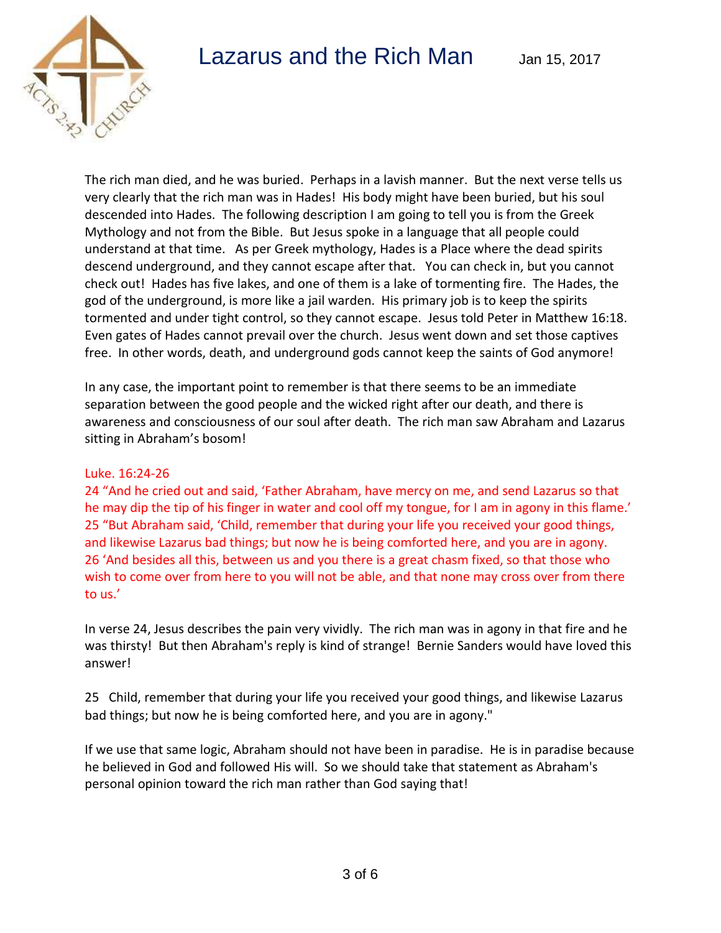

## Lazarus and the Rich Man  $_{Jan 15, 2017}$

The rich man died, and he was buried. Perhaps in a lavish manner. But the next verse tells us very clearly that the rich man was in Hades! His body might have been buried, but his soul descended into Hades. The following description I am going to tell you is from the Greek Mythology and not from the Bible. But Jesus spoke in a language that all people could understand at that time. As per Greek mythology, Hades is a Place where the dead spirits descend underground, and they cannot escape after that. You can check in, but you cannot check out! Hades has five lakes, and one of them is a lake of tormenting fire. The Hades, the god of the underground, is more like a jail warden. His primary job is to keep the spirits tormented and under tight control, so they cannot escape. Jesus told Peter in Matthew 16:18. Even gates of Hades cannot prevail over the church. Jesus went down and set those captives free. In other words, death, and underground gods cannot keep the saints of God anymore!

In any case, the important point to remember is that there seems to be an immediate separation between the good people and the wicked right after our death, and there is awareness and consciousness of our soul after death. The rich man saw Abraham and Lazarus sitting in Abraham's bosom!

#### Luke. 16:24-26

24 "And he cried out and said, 'Father Abraham, have mercy on me, and send Lazarus so that he may dip the tip of his finger in water and cool off my tongue, for I am in agony in this flame.' 25 "But Abraham said, 'Child, remember that during your life you received your good things, and likewise Lazarus bad things; but now he is being comforted here, and you are in agony. 26 'And besides all this, between us and you there is a great chasm fixed, so that those who wish to come over from here to you will not be able, and that none may cross over from there to us.'

In verse 24, Jesus describes the pain very vividly. The rich man was in agony in that fire and he was thirsty! But then Abraham's reply is kind of strange! Bernie Sanders would have loved this answer!

25 Child, remember that during your life you received your good things, and likewise Lazarus bad things; but now he is being comforted here, and you are in agony."

If we use that same logic, Abraham should not have been in paradise. He is in paradise because he believed in God and followed His will. So we should take that statement as Abraham's personal opinion toward the rich man rather than God saying that!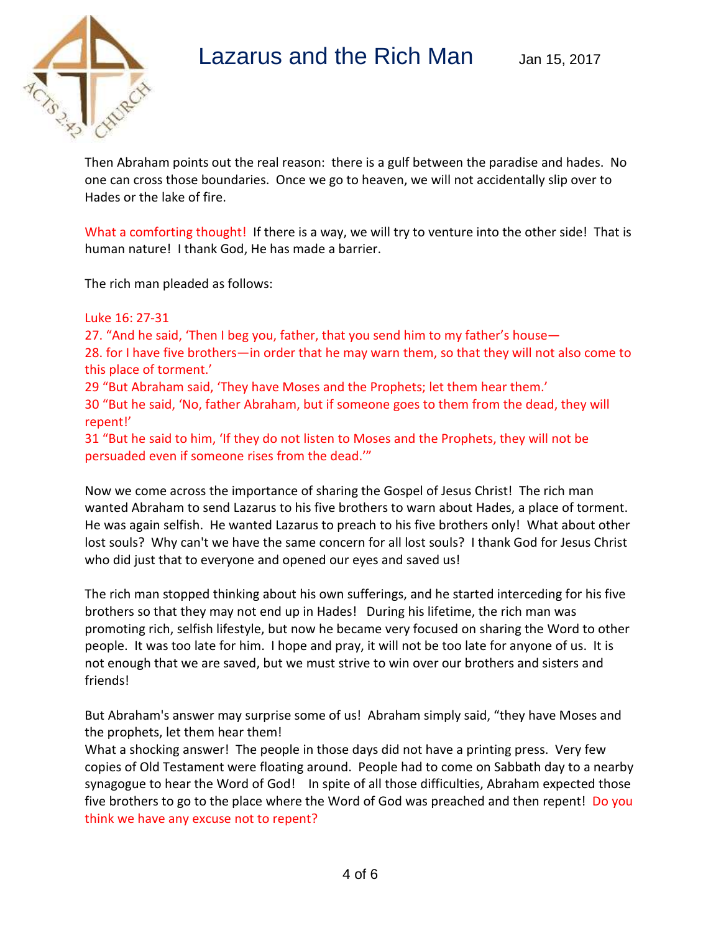

Then Abraham points out the real reason: there is a gulf between the paradise and hades. No one can cross those boundaries. Once we go to heaven, we will not accidentally slip over to Hades or the lake of fire.

What a comforting thought! If there is a way, we will try to venture into the other side! That is human nature! I thank God, He has made a barrier.

The rich man pleaded as follows:

#### Luke 16: 27-31

27. "And he said, 'Then I beg you, father, that you send him to my father's house— 28. for I have five brothers—in order that he may warn them, so that they will not also come to this place of torment.'

29 "But Abraham said, 'They have Moses and the Prophets; let them hear them.'

30 "But he said, 'No, father Abraham, but if someone goes to them from the dead, they will repent!'

31 "But he said to him, 'If they do not listen to Moses and the Prophets, they will not be persuaded even if someone rises from the dead.'"

Now we come across the importance of sharing the Gospel of Jesus Christ! The rich man wanted Abraham to send Lazarus to his five brothers to warn about Hades, a place of torment. He was again selfish. He wanted Lazarus to preach to his five brothers only! What about other lost souls? Why can't we have the same concern for all lost souls? I thank God for Jesus Christ who did just that to everyone and opened our eyes and saved us!

The rich man stopped thinking about his own sufferings, and he started interceding for his five brothers so that they may not end up in Hades! During his lifetime, the rich man was promoting rich, selfish lifestyle, but now he became very focused on sharing the Word to other people. It was too late for him. I hope and pray, it will not be too late for anyone of us. It is not enough that we are saved, but we must strive to win over our brothers and sisters and friends!

But Abraham's answer may surprise some of us! Abraham simply said, "they have Moses and the prophets, let them hear them!

What a shocking answer! The people in those days did not have a printing press. Very few copies of Old Testament were floating around. People had to come on Sabbath day to a nearby synagogue to hear the Word of God! In spite of all those difficulties, Abraham expected those five brothers to go to the place where the Word of God was preached and then repent! Do you think we have any excuse not to repent?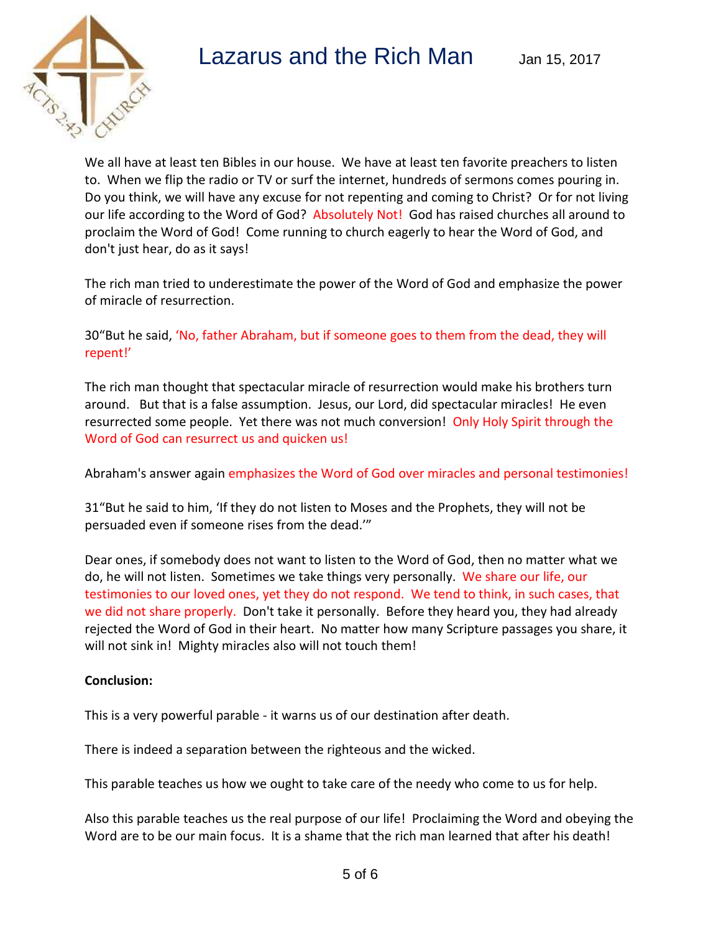# Lazarus and the Rich Man Jan 15, 2017



We all have at least ten Bibles in our house. We have at least ten favorite preachers to listen to. When we flip the radio or TV or surf the internet, hundreds of sermons comes pouring in. Do you think, we will have any excuse for not repenting and coming to Christ? Or for not living our life according to the Word of God? Absolutely Not! God has raised churches all around to proclaim the Word of God! Come running to church eagerly to hear the Word of God, and don't just hear, do as it says!

The rich man tried to underestimate the power of the Word of God and emphasize the power of miracle of resurrection.

30"But he said, 'No, father Abraham, but if someone goes to them from the dead, they will repent!'

The rich man thought that spectacular miracle of resurrection would make his brothers turn around. But that is a false assumption. Jesus, our Lord, did spectacular miracles! He even resurrected some people. Yet there was not much conversion! Only Holy Spirit through the Word of God can resurrect us and quicken us!

Abraham's answer again emphasizes the Word of God over miracles and personal testimonies!

31"But he said to him, 'If they do not listen to Moses and the Prophets, they will not be persuaded even if someone rises from the dead.'"

Dear ones, if somebody does not want to listen to the Word of God, then no matter what we do, he will not listen. Sometimes we take things very personally. We share our life, our testimonies to our loved ones, yet they do not respond. We tend to think, in such cases, that we did not share properly. Don't take it personally. Before they heard you, they had already rejected the Word of God in their heart. No matter how many Scripture passages you share, it will not sink in! Mighty miracles also will not touch them!

## **Conclusion:**

This is a very powerful parable - it warns us of our destination after death.

There is indeed a separation between the righteous and the wicked.

This parable teaches us how we ought to take care of the needy who come to us for help.

Also this parable teaches us the real purpose of our life! Proclaiming the Word and obeying the Word are to be our main focus. It is a shame that the rich man learned that after his death!